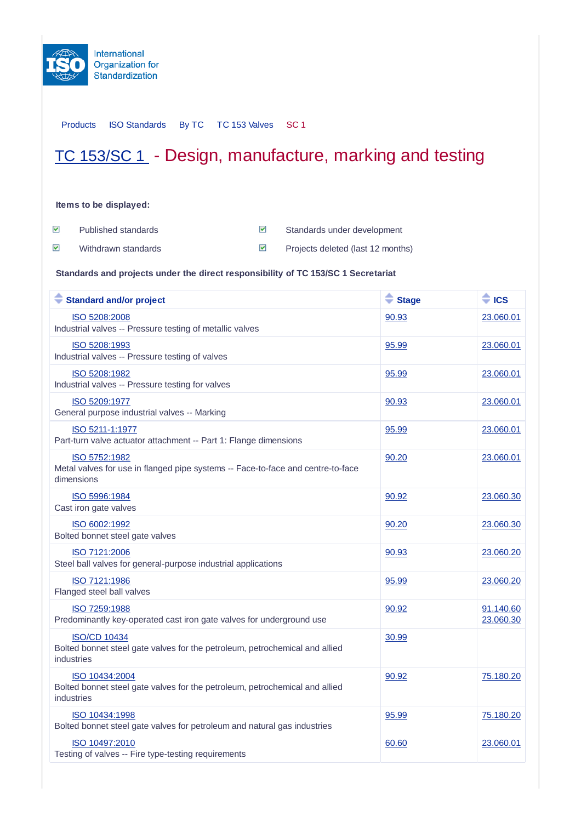

Products ISO Standards By TC TC 153 Valves SC 1

## TC 153/SC 1 - Design, manufacture, marking and testing

## **Items to be displayed:**

 $\blacktriangledown$ Published standards Standards Standards under development

 $\blacktriangledown$ 

Withdrawn standards **Projects deleted (last 12 months)** 

**Standards and projects under the direct responsibility of TC 153/SC 1 Secretariat**

| <b>Standard and/or project</b>                                                                                   | $\triangleq$ Stage | $\triangleq$ ICS       |
|------------------------------------------------------------------------------------------------------------------|--------------------|------------------------|
| ISO 5208:2008<br>Industrial valves -- Pressure testing of metallic valves                                        | 90.93              | 23.060.01              |
| ISO 5208:1993<br>Industrial valves -- Pressure testing of valves                                                 | 95.99              | 23.060.01              |
| ISO 5208:1982<br>Industrial valves -- Pressure testing for valves                                                | 95.99              | 23.060.01              |
| ISO 5209:1977<br>General purpose industrial valves -- Marking                                                    | 90.93              | 23.060.01              |
| ISO 5211-1:1977<br>Part-turn valve actuator attachment -- Part 1: Flange dimensions                              | 95.99              | 23.060.01              |
| ISO 5752:1982<br>Metal valves for use in flanged pipe systems -- Face-to-face and centre-to-face<br>dimensions   | 90.20              | 23.060.01              |
| ISO 5996:1984<br>Cast iron gate valves                                                                           | 90.92              | 23.060.30              |
| ISO 6002:1992<br>Bolted bonnet steel gate valves                                                                 | 90.20              | 23.060.30              |
| ISO 7121:2006<br>Steel ball valves for general-purpose industrial applications                                   | 90.93              | 23.060.20              |
| ISO 7121:1986<br>Flanged steel ball valves                                                                       | 95.99              | 23.060.20              |
| ISO 7259:1988<br>Predominantly key-operated cast iron gate valves for underground use                            | 90.92              | 91.140.60<br>23.060.30 |
| <b>ISO/CD 10434</b><br>Bolted bonnet steel gate valves for the petroleum, petrochemical and allied<br>industries | 30.99              |                        |
| ISO 10434:2004<br>Bolted bonnet steel gate valves for the petroleum, petrochemical and allied<br>industries      | 90.92              | 75.180.20              |
| ISO 10434:1998<br>Bolted bonnet steel gate valves for petroleum and natural gas industries                       | 95.99              | 75.180.20              |
| ISO 10497:2010<br>Testing of valves -- Fire type-testing requirements                                            | 60.60              | 23.060.01              |